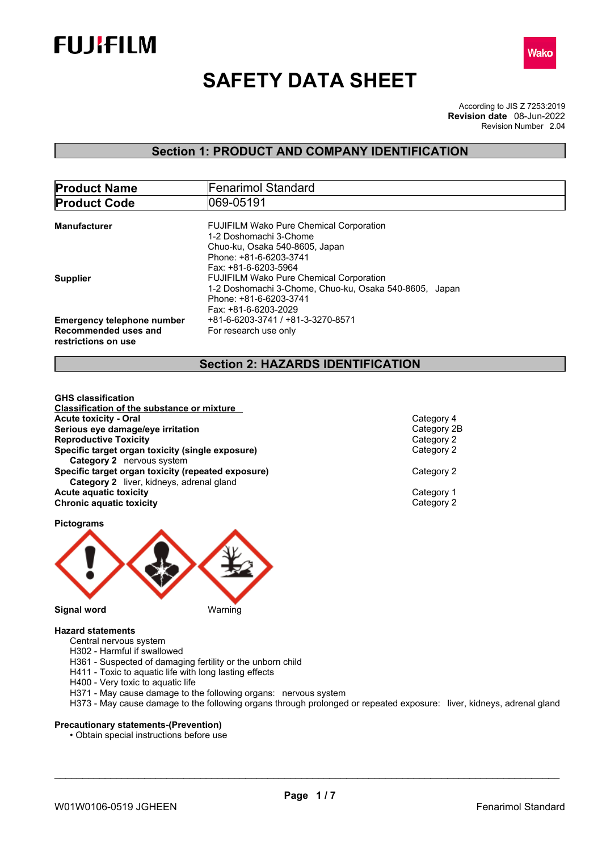



# **SAFETY DATA SHEET**

According to JIS Z 7253:2019 Revision Number 2.04 **Revision date** 08-Jun-2022

# **Section 1: PRODUCT AND COMPANY IDENTIFICATION**

| <b>Product Name</b>                                                              | Fenarimol Standard                                                                                                                                         |  |  |
|----------------------------------------------------------------------------------|------------------------------------------------------------------------------------------------------------------------------------------------------------|--|--|
| <b>Product Code</b>                                                              | 1069-05191                                                                                                                                                 |  |  |
| <b>Manufacturer</b>                                                              | <b>FUJIFILM Wako Pure Chemical Corporation</b><br>1-2 Doshomachi 3-Chome                                                                                   |  |  |
|                                                                                  | Chuo-ku, Osaka 540-8605, Japan<br>Phone: +81-6-6203-3741<br>Fax: +81-6-6203-5964                                                                           |  |  |
| <b>Supplier</b>                                                                  | <b>FUJIFILM Wako Pure Chemical Corporation</b><br>1-2 Doshomachi 3-Chome, Chuo-ku, Osaka 540-8605, Japan<br>Phone: +81-6-6203-3741<br>Fax: +81-6-6203-2029 |  |  |
| <b>Emergency telephone number</b><br>Recommended uses and<br>restrictions on use | +81-6-6203-3741 / +81-3-3270-8571<br>For research use only                                                                                                 |  |  |

# **Section 2: HAZARDS IDENTIFICATION**

**GHS classification Classification of the substance or mixture Acute toxicity - Oral** Category 4 **Serious eye damage/eye irritation**<br> **Reproductive Toxicity**<br>
Category 2 **Reproductive Toxicity Specific target organ toxicity (single exposure)** Category 2 **Category 2** nervous system **Specific target organ toxicity (repeated exposure) Category 2 Category 2** liver, kidneys, adrenal gland **Acute aquatic toxicity**<br> **Category 1**<br> **Category 2**<br> **Category 2 Chronic aquatic toxicity** 

**Pictograms**



## **Hazard statements**

- Central nervous system
- H302 Harmful if swallowed
- H361 Suspected of damaging fertility or the unborn child
- H411 Toxic to aquatic life with long lasting effects
- H400 Very toxic to aquatic life
- H371 May cause damage to the following organs: nervous system
- H373 May cause damage to the following organs through prolonged or repeated exposure: liver, kidneys, adrenal gland

## **Precautionary statements-(Prevention)**

• Obtain special instructions before use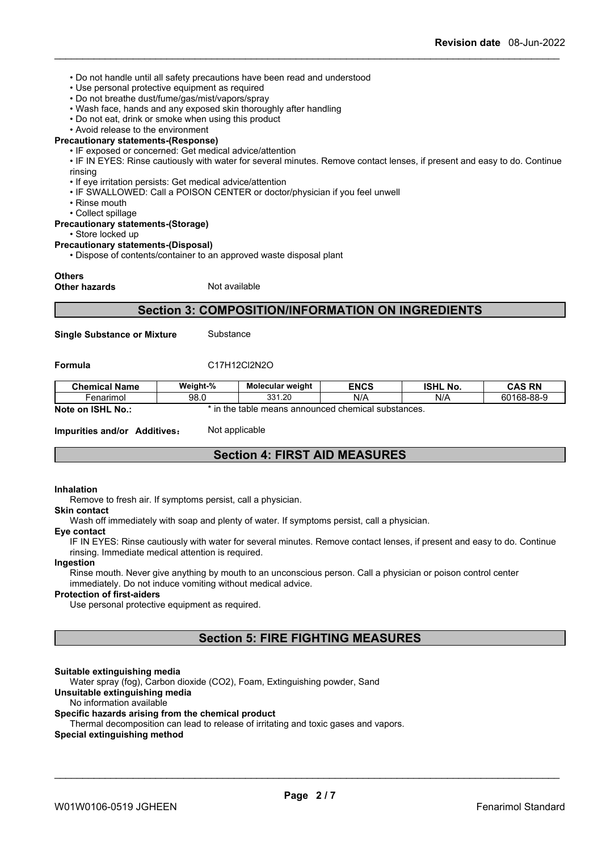- Do not handle until all safety precautions have been read and understood
- Use personal protective equipment as required
- Do not breathe dust/fume/gas/mist/vapors/spray
- Wash face, hands and any exposed skin thoroughly after handling
- Do not eat, drink or smoke when using this product
- Avoid release to the environment

## **Precautionary statements-(Response)**

• IF exposed or concerned: Get medical advice/attention

• IF IN EYES: Rinse cautiously with water for several minutes. Remove contact lenses, if present and easy to do. Continue rinsing

- If eye irritation persists: Get medical advice/attention
- IF SWALLOWED: Call a POISON CENTER or doctor/physician if you feel unwell
- Rinse mouth
- Collect spillage

#### **Precautionary statements-(Storage)**

• Store locked up

#### **Precautionary statements-(Disposal)**

• Dispose of contents/container to an approved waste disposal plant

#### **Others**

**Other hazards** Not available

# **Section 3: COMPOSITION/INFORMATION ON INGREDIENTS**

**Single Substance or Mixture** Substance

#### **Formula** C17H12Cl2N2O

| <b>Chemical Name</b>                     | Weight-%                                                       | <b>Molecular weight</b> | <b>ENCS</b> | <b>ISHL</b><br>. No. | <b>CAS RN</b> |
|------------------------------------------|----------------------------------------------------------------|-------------------------|-------------|----------------------|---------------|
| -enarimol                                | 98.0                                                           | 331.20                  | N/A         | N/A                  | 60168-88-9    |
| <b>Note</b><br><b>ISHL</b><br>` No<br>on | d chemical substances.<br>≅means announced u<br>. the<br>table |                         |             |                      |               |

**Impurities and/or Additives:** Not applicable

# **Section 4: FIRST AID MEASURES**

## **Inhalation**

Remove to fresh air. If symptoms persist, call a physician.

#### **Skin contact**

Wash off immediately with soap and plenty of water. If symptoms persist, calla physician.

#### **Eye contact**

IF IN EYES: Rinse cautiously with water for several minutes. Remove contact lenses, if present and easy to do. Continue rinsing. Immediate medical attention is required.

#### **Ingestion**

Rinse mouth. Never give anything by mouth to an unconscious person. Call a physician or poison control center immediately. Do not induce vomiting without medical advice.

## **Protection of first-aiders**

Use personal protective equipment as required.

# **Section 5: FIRE FIGHTING MEASURES**

## **Suitable extinguishing media**

Water spray (fog), Carbon dioxide (CO2), Foam, Extinguishing powder, Sand

# **Unsuitable extinguishing media**

#### No information available

#### **Specific hazards arising from the chemical product**

Thermal decomposition can lead to release of irritating and toxic gases and vapors.

#### **Special extinguishing method**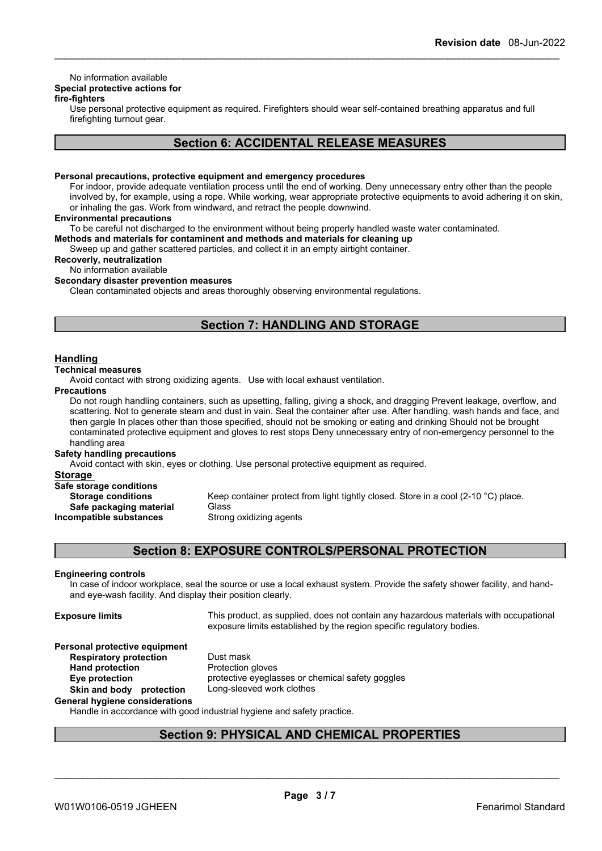# No information available

# **Special protective actions for**

## **fire-fighters**

Use personal protective equipment as required.Firefighters should wear self-contained breathing apparatus and full firefighting turnout gear.

# **Section 6: ACCIDENTAL RELEASE MEASURES**

#### **Personal precautions, protective equipment and emergency procedures**

For indoor, provide adequate ventilation process until the end of working. Deny unnecessary entry other than the people involved by, for example, using a rope. While working, wear appropriate protective equipments to avoid adhering it on skin, or inhaling the gas. Work from windward, and retract the people downwind.

#### **Environmental precautions**

To be careful not discharged to the environment without being properly handled waste water contaminated.

**Methods and materials for contaminent and methods and materials for cleaning up**

Sweep up and gather scattered particles, and collect it in an empty airtight container.

# **Recoverly, neutralization**

No information available

# **Secondary disaster prevention measures**

Clean contaminated objects and areas thoroughly observing environmental regulations.

# **Section 7: HANDLING AND STORAGE**

## **Handling**

# **Technical measures**

Avoid contact with strong oxidizing agents. Use with local exhaust ventilation.

#### **Precautions**

Do not rough handling containers, such as upsetting, falling, giving a shock, and dragging Prevent leakage, overflow, and scattering. Not to generate steam and dust in vain. Seal the container after use. After handling, wash hands and face, and then gargle In places other than those specified, should not be smoking or eating and drinking Should not be brought contaminated protective equipment and gloves to rest stops Deny unnecessary entry of non-emergency personnel to the handling area

## **Safety handling precautions**

Avoid contact with skin, eyes or clothing. Use personal protective equipment as required.

#### **Storage**

| Safe storage conditions   |                             |
|---------------------------|-----------------------------|
| <b>Storage conditions</b> | Keep container protect fron |
| Safe packaging material   | Glass                       |
| Incompatible substances   | Strong oxidizing agents     |

container protect from light tightly closed. Store in a cool (2-10 °C) place. **Ig oxidizing agents** 

# **Section 8: EXPOSURE CONTROLS/PERSONAL PROTECTION**

## **Engineering controls**

In case of indoor workplace, seal the source or use a local exhaust system. Provide the safety shower facility, and handand eye-wash facility. And display their position clearly.

**Hand** protection

**Exposure limits** This product, as supplied, does not contain any hazardous materials with occupational exposure limits established by the region specific regulatory bodies.

\_\_\_\_\_\_\_\_\_\_\_\_\_\_\_\_\_\_\_\_\_\_\_\_\_\_\_\_\_\_\_\_\_\_\_\_\_\_\_\_\_\_\_\_\_\_\_\_\_\_\_\_\_\_\_\_\_\_\_\_\_\_\_\_\_\_\_\_\_\_\_\_\_\_\_\_\_\_\_\_\_\_\_\_\_\_\_\_\_\_

# **Personal protective equipment**

**Respiratory protection** Dust mask<br> **Hand protection**<br> **Protection gloves Eye protection** protective eyeglasses or chemical safety goggles **Skin and body protection** Long-sleeved work clothes

# **General hygiene considerations**

Handle in accordance with good industrial hygiene and safety practice.

# **Section 9: PHYSICAL AND CHEMICAL PROPERTIES**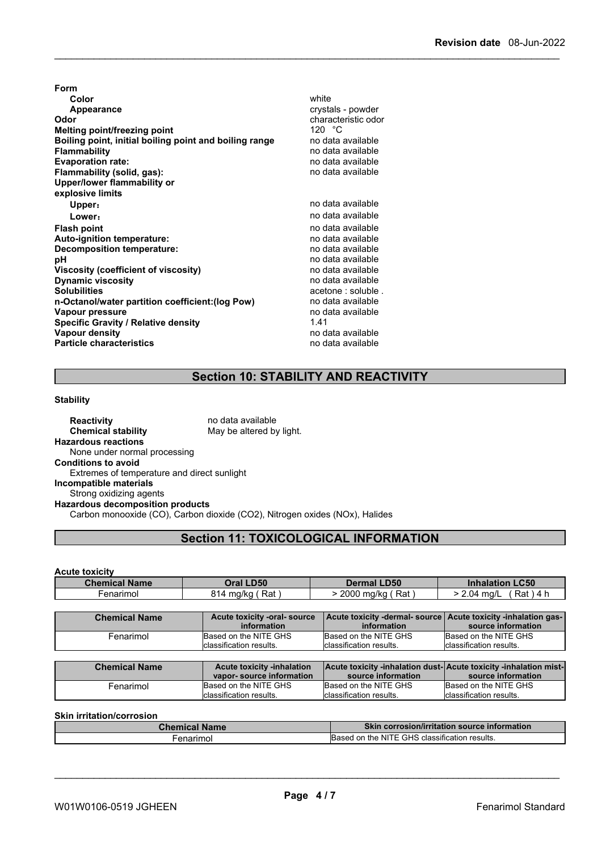| Form                                                   |                     |
|--------------------------------------------------------|---------------------|
| Color                                                  | white               |
| Appearance                                             | crystals - powder   |
| Odor                                                   | characteristic odor |
| Melting point/freezing point                           | 120 $^{\circ}$ C    |
| Boiling point, initial boiling point and boiling range | no data available   |
| <b>Flammability</b>                                    | no data available   |
| <b>Evaporation rate:</b>                               | no data available   |
| Flammability (solid, gas):                             | no data available   |
| Upper/lower flammability or                            |                     |
| explosive limits                                       |                     |
| Upper:                                                 | no data available   |
| Lower:                                                 | no data available   |
| <b>Flash point</b>                                     | no data available   |
| Auto-ignition temperature:                             | no data available   |
| Decomposition temperature:                             | no data available   |
| рH                                                     | no data available   |
| Viscosity (coefficient of viscosity)                   | no data available   |
| <b>Dynamic viscosity</b>                               | no data available   |
| <b>Solubilities</b>                                    | acetone: soluble.   |
| n-Octanol/water partition coefficient: (log Pow)       | no data available   |
| Vapour pressure                                        | no data available   |
| <b>Specific Gravity / Relative density</b>             | 1.41                |
| Vapour density                                         | no data available   |
| <b>Particle characteristics</b>                        | no data available   |

# **Section 10: STABILITY AND REACTIVITY**

#### **Stability**

**Acute toxicity**

**Reactivity no data available Chemical stability** May be altered by light. **Hazardous reactions** None under normal processing **Conditions to avoid** Extremes of temperature and direct sunlight **Incompatible materials** Strong oxidizing agents **Hazardous decomposition products** Carbon monooxide (CO), Carbon dioxide (CO2), Nitrogen oxides (NOx), Halides

# **Section 11: TOXICOLOGICAL INFORMATION**

| <b>Chemical Name</b> | Oral LD50                                                     | <b>Dermal LD50</b>                               | <b>Inhalation LC50</b>                                                                   |
|----------------------|---------------------------------------------------------------|--------------------------------------------------|------------------------------------------------------------------------------------------|
| Fenarimol            | 814 mg/kg (Rat)                                               | > 2000 mg/kg (Rat)                               | $(Rat)$ 4 h<br>> 2.04 ma/L                                                               |
|                      |                                                               |                                                  |                                                                                          |
| <b>Chemical Name</b> | Acute toxicity -oral- source<br><i>information</i>            | information                                      | Acute toxicity -dermal- source   Acute toxicity -inhalation gas-  <br>source information |
| Fenarimol            | Based on the NITE GHS<br>classification results.              | Based on the NITE GHS<br>classification results. | Based on the NITE GHS<br>classification results.                                         |
|                      |                                                               |                                                  |                                                                                          |
| <b>Chemical Name</b> | <b>Acute toxicity -inhalation</b><br>vapor-source information | source information                               | Acute toxicity -inhalation dust-Acute toxicity -inhalation mist-<br>source information   |

## **Skin irritation/corrosion**

| Chemical<br>. Name | <b>Skin corrosion/irritation source information</b>                              |
|--------------------|----------------------------------------------------------------------------------|
| enarimol           | $\cdot$<br><b>GHS</b><br>. NIT<br>on the<br>; classification results.<br>'Rasec' |

Based on the NITE GHS

\_\_\_\_\_\_\_\_\_\_\_\_\_\_\_\_\_\_\_\_\_\_\_\_\_\_\_\_\_\_\_\_\_\_\_\_\_\_\_\_\_\_\_\_\_\_\_\_\_\_\_\_\_\_\_\_\_\_\_\_\_\_\_\_\_\_\_\_\_\_\_\_\_\_\_\_\_\_\_\_\_\_\_\_\_\_\_\_\_\_

Fenarimol Based on the NITE GHS Based on the NITE GHS Based on the NITE (

Based on the NITE GHS classification results.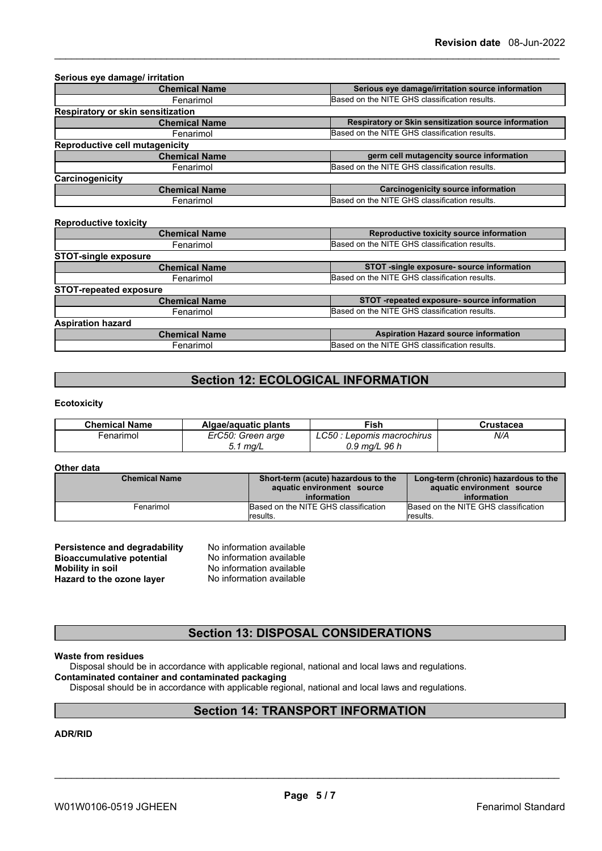| <b>Chemical Name</b>              | Serious eye damage/irritation source information     |
|-----------------------------------|------------------------------------------------------|
| Fenarimol                         | Based on the NITE GHS classification results.        |
| Respiratory or skin sensitization |                                                      |
| <b>Chemical Name</b>              | Respiratory or Skin sensitization source information |
| Fenarimol                         | Based on the NITE GHS classification results.        |
| Reproductive cell mutagenicity    |                                                      |
| <b>Chemical Name</b>              | germ cell mutagencity source information             |
| Fenarimol                         | Based on the NITE GHS classification results.        |
| Carcinogenicity                   |                                                      |
| <b>Chemical Name</b>              | <b>Carcinogenicity source information</b>            |
| Fenarimol                         | Based on the NITE GHS classification results.        |
| <b>Reproductive toxicity</b>      |                                                      |
| <b>Chemical Name</b>              | Reproductive toxicity source information             |
| Fenarimol                         | Based on the NITE GHS classification results.        |
| <b>STOT-single exposure</b>       |                                                      |
| <b>Chemical Name</b>              | STOT -single exposure- source information            |
| Fenarimol                         | Based on the NITE GHS classification results.        |
| <b>STOT-repeated exposure</b>     |                                                      |
| <b>Chemical Name</b>              | STOT -repeated exposure- source information          |
| Fenarimol                         | Based on the NITE GHS classification results.        |

| -----------              |                                               |
|--------------------------|-----------------------------------------------|
| <b>Aspiration hazard</b> |                                               |
| <b>Chemical Name</b>     | <b>Aspiration Hazard source information</b>   |
| -enarımol                | Based on the NITE GHS classification results. |
|                          |                                               |

# **Section 12: ECOLOGICAL INFORMATION**

## **Ecotoxicity**

| <b>Chemical Name</b> | Algae/aguatic plants | Fish                          | Crustacea |
|----------------------|----------------------|-------------------------------|-----------|
| -enarımol            | ErC50: Green arge    | LC50<br>: Lepomis macrochirus | N/A       |
|                      | 1 mq/L<br>ັ.         | $0.9 \text{ mg/L}$ 96 h       |           |

## **Other data**

| <b>Chemical Name</b> | Short-term (acute) hazardous to the<br>aquatic environment source | Long-term (chronic) hazardous to the<br>aquatic environment source |  |
|----------------------|-------------------------------------------------------------------|--------------------------------------------------------------------|--|
|                      | information                                                       | information                                                        |  |
| Fenarimol            | Based on the NITE GHS classification                              | Based on the NITE GHS classification                               |  |
|                      | lresults.                                                         | lresults.                                                          |  |

| Persistence and degradability    | No information available |
|----------------------------------|--------------------------|
| <b>Bioaccumulative potential</b> | No information available |
| Mobility in soil                 | No information available |
| Hazard to the ozone layer        | No information available |

# **Section 13: DISPOSAL CONSIDERATIONS**

## **Waste from residues**

Disposal should be in accordance with applicable regional, national and local laws and regulations.

## **Contaminated container and contaminated packaging**

Disposal should be in accordance with applicable regional, national and local laws and regulations.

# **Section 14: TRANSPORT INFORMATION**

## **ADR/RID**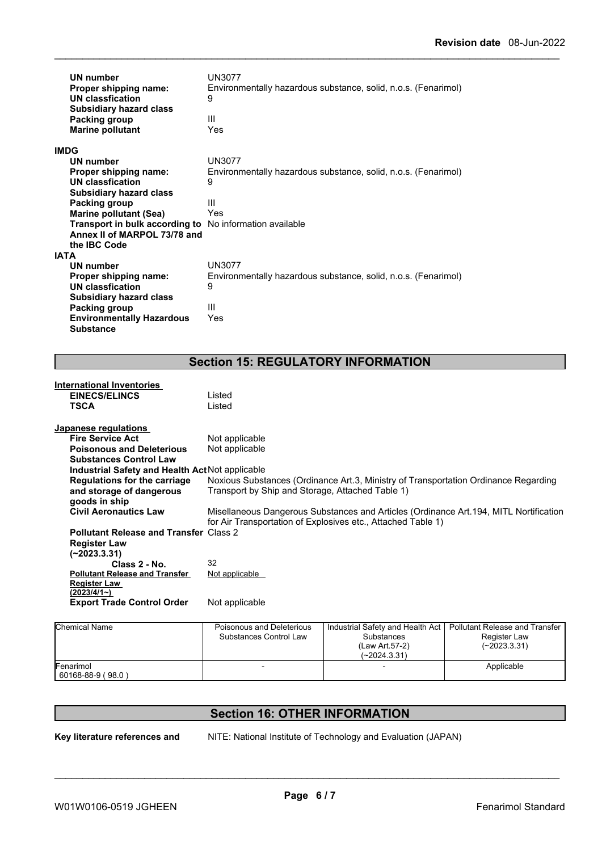| UN number<br>Proper shipping name:<br>UN classfication<br><b>Subsidiary hazard class</b> | UN3077<br>Environmentally hazardous substance, solid, n.o.s. (Fenarimol)<br>9 |
|------------------------------------------------------------------------------------------|-------------------------------------------------------------------------------|
| Packing group                                                                            | Ш<br>Yes                                                                      |
| <b>Marine pollutant</b>                                                                  |                                                                               |
| <b>IMDG</b>                                                                              |                                                                               |
| UN number                                                                                | UN3077                                                                        |
| Proper shipping name:                                                                    | Environmentally hazardous substance, solid, n.o.s. (Fenarimol)                |
| UN classfication                                                                         | 9                                                                             |
| <b>Subsidiary hazard class</b>                                                           |                                                                               |
| Packing group                                                                            | Ш                                                                             |
| <b>Marine pollutant (Sea)</b>                                                            | Yes                                                                           |
| Transport in bulk according to                                                           | No information available                                                      |
| Annex II of MARPOL 73/78 and                                                             |                                                                               |
| the <b>IBC</b> Code                                                                      |                                                                               |
| <b>IATA</b>                                                                              |                                                                               |
| UN number                                                                                | <b>UN3077</b>                                                                 |
| Proper shipping name:                                                                    | Environmentally hazardous substance, solid, n.o.s. (Fenarimol)                |
| UN classfication                                                                         | 9                                                                             |
| <b>Subsidiary hazard class</b>                                                           |                                                                               |
| Packing group                                                                            | Ш                                                                             |
| <b>Environmentally Hazardous</b>                                                         | Yes                                                                           |
| <b>Substance</b>                                                                         |                                                                               |

# **Section 15: REGULATORY INFORMATION**

| <b>International Inventories</b>                |                                                                                                                                                                                                           |                                  |                                       |  |                                               |
|-------------------------------------------------|-----------------------------------------------------------------------------------------------------------------------------------------------------------------------------------------------------------|----------------------------------|---------------------------------------|--|-----------------------------------------------|
| <b>EINECS/ELINCS</b>                            | Listed                                                                                                                                                                                                    |                                  |                                       |  |                                               |
| TSCA                                            | Listed                                                                                                                                                                                                    |                                  |                                       |  |                                               |
| Japanese regulations                            |                                                                                                                                                                                                           |                                  |                                       |  |                                               |
| <b>Fire Service Act</b>                         | Not applicable                                                                                                                                                                                            |                                  |                                       |  |                                               |
| <b>Poisonous and Deleterious</b>                | Not applicable                                                                                                                                                                                            |                                  |                                       |  |                                               |
| <b>Substances Control Law</b>                   |                                                                                                                                                                                                           |                                  |                                       |  |                                               |
| Industrial Safety and Health Act Not applicable |                                                                                                                                                                                                           |                                  |                                       |  |                                               |
| <b>Regulations for the carriage</b>             | Noxious Substances (Ordinance Art.3, Ministry of Transportation Ordinance Regarding                                                                                                                       |                                  |                                       |  |                                               |
| and storage of dangerous                        | Transport by Ship and Storage, Attached Table 1)<br>Misellaneous Dangerous Substances and Articles (Ordinance Art.194, MITL Nortification<br>for Air Transportation of Explosives etc., Attached Table 1) |                                  |                                       |  |                                               |
| goods in ship<br><b>Civil Aeronautics Law</b>   |                                                                                                                                                                                                           |                                  |                                       |  |                                               |
|                                                 |                                                                                                                                                                                                           |                                  |                                       |  | <b>Pollutant Release and Transfer Class 2</b> |
| <b>Register Law</b>                             |                                                                                                                                                                                                           |                                  |                                       |  |                                               |
| $(-2023.3.31)$                                  |                                                                                                                                                                                                           |                                  |                                       |  |                                               |
| Class 2 - No.                                   | 32                                                                                                                                                                                                        |                                  |                                       |  |                                               |
| <b>Pollutant Release and Transfer</b>           | Not applicable                                                                                                                                                                                            |                                  |                                       |  |                                               |
| <b>Register Law</b>                             |                                                                                                                                                                                                           |                                  |                                       |  |                                               |
| (2023/4/1~)                                     |                                                                                                                                                                                                           |                                  |                                       |  |                                               |
| <b>Export Trade Control Order</b>               | Not applicable                                                                                                                                                                                            |                                  |                                       |  |                                               |
| <b>Chemical Name</b>                            | Poisonous and Deleterious                                                                                                                                                                                 | Industrial Safety and Health Act | <b>Pollutant Release and Transfer</b> |  |                                               |
|                                                 |                                                                                                                                                                                                           |                                  |                                       |  |                                               |

| IUITEITIIUAI INAITIE           | UISUIIUUS AHU LUUUUIIUUS<br>Substances Control Law | <b>INQUISITION SOLUTE:</b> ONLY AT IT CONTINUES.<br>Substances<br>(Law Art 57-2)<br>$(-2024.3.31)$ | - Vilulal II REIEASE ANU TTANSIEL<br>Register Law<br>(~2023.3.31) |  |
|--------------------------------|----------------------------------------------------|----------------------------------------------------------------------------------------------------|-------------------------------------------------------------------|--|
| Fenarimol<br>60168-88-9 (98.0) |                                                    |                                                                                                    | Applicable                                                        |  |

# **Section 16: OTHER INFORMATION**

**Key literature references and**

NITE: National Institute of Technology and Evaluation (JAPAN)